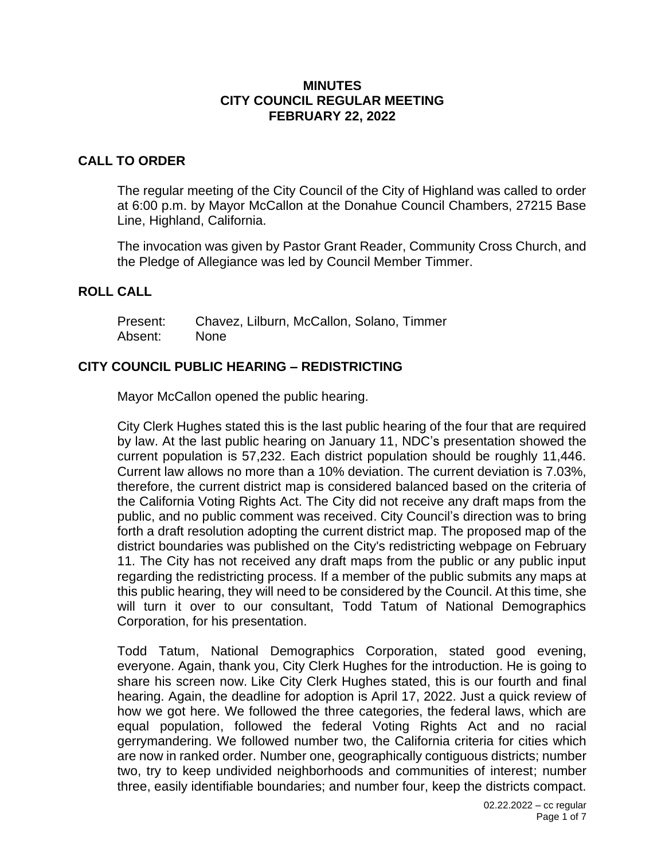### **MINUTES CITY COUNCIL REGULAR MEETING FEBRUARY 22, 2022**

## **CALL TO ORDER**

The regular meeting of the City Council of the City of Highland was called to order at 6:00 p.m. by Mayor McCallon at the Donahue Council Chambers, 27215 Base Line, Highland, California.

The invocation was given by Pastor Grant Reader, Community Cross Church, and the Pledge of Allegiance was led by Council Member Timmer.

### **ROLL CALL**

Present: Chavez, Lilburn, McCallon, Solano, Timmer Absent: None

## **CITY COUNCIL PUBLIC HEARING – REDISTRICTING**

Mayor McCallon opened the public hearing.

City Clerk Hughes stated this is the last public hearing of the four that are required by law. At the last public hearing on January 11, NDC's presentation showed the current population is 57,232. Each district population should be roughly 11,446. Current law allows no more than a 10% deviation. The current deviation is 7.03%, therefore, the current district map is considered balanced based on the criteria of the California Voting Rights Act. The City did not receive any draft maps from the public, and no public comment was received. City Council's direction was to bring forth a draft resolution adopting the current district map. The proposed map of the district boundaries was published on the City's redistricting webpage on February 11. The City has not received any draft maps from the public or any public input regarding the redistricting process. If a member of the public submits any maps at this public hearing, they will need to be considered by the Council. At this time, she will turn it over to our consultant, Todd Tatum of National Demographics Corporation, for his presentation.

Todd Tatum, National Demographics Corporation, stated good evening, everyone. Again, thank you, City Clerk Hughes for the introduction. He is going to share his screen now. Like City Clerk Hughes stated, this is our fourth and final hearing. Again, the deadline for adoption is April 17, 2022. Just a quick review of how we got here. We followed the three categories, the federal laws, which are equal population, followed the federal Voting Rights Act and no racial gerrymandering. We followed number two, the California criteria for cities which are now in ranked order. Number one, geographically contiguous districts; number two, try to keep undivided neighborhoods and communities of interest; number three, easily identifiable boundaries; and number four, keep the districts compact.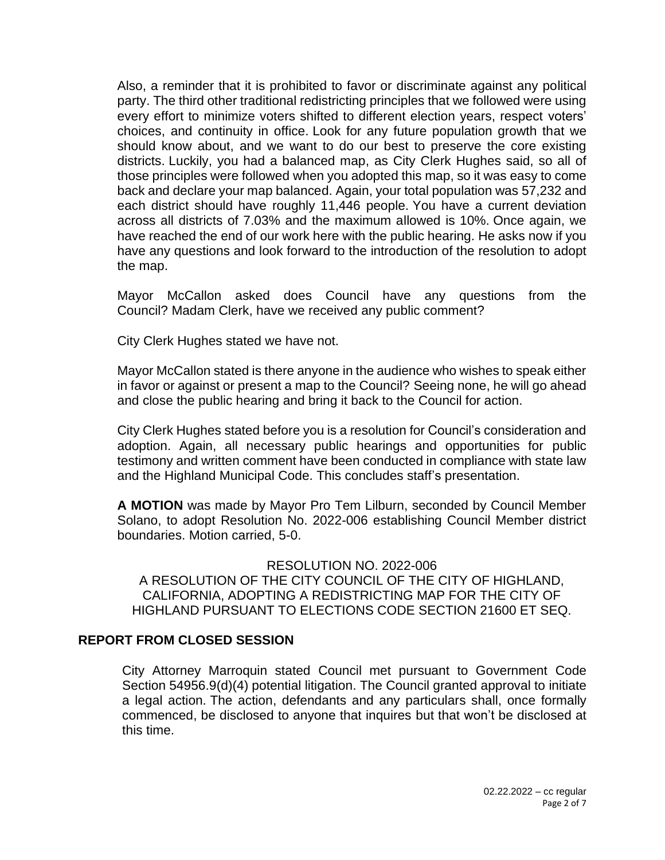Also, a reminder that it is prohibited to favor or discriminate against any political party. The third other traditional redistricting principles that we followed were using every effort to minimize voters shifted to different election years, respect voters' choices, and continuity in office. Look for any future population growth that we should know about, and we want to do our best to preserve the core existing districts. Luckily, you had a balanced map, as City Clerk Hughes said, so all of those principles were followed when you adopted this map, so it was easy to come back and declare your map balanced. Again, your total population was 57,232 and each district should have roughly 11,446 people. You have a current deviation across all districts of 7.03% and the maximum allowed is 10%. Once again, we have reached the end of our work here with the public hearing. He asks now if you have any questions and look forward to the introduction of the resolution to adopt the map.

Mayor McCallon asked does Council have any questions from the Council? Madam Clerk, have we received any public comment?

City Clerk Hughes stated we have not.

Mayor McCallon stated is there anyone in the audience who wishes to speak either in favor or against or present a map to the Council? Seeing none, he will go ahead and close the public hearing and bring it back to the Council for action.

City Clerk Hughes stated before you is a resolution for Council's consideration and adoption. Again, all necessary public hearings and opportunities for public testimony and written comment have been conducted in compliance with state law and the Highland Municipal Code. This concludes staff's presentation.

**A MOTION** was made by Mayor Pro Tem Lilburn, seconded by Council Member Solano, to adopt Resolution No. 2022-006 establishing Council Member district boundaries. Motion carried, 5-0.

RESOLUTION NO. 2022-006 A RESOLUTION OF THE CITY COUNCIL OF THE CITY OF HIGHLAND, CALIFORNIA, ADOPTING A REDISTRICTING MAP FOR THE CITY OF HIGHLAND PURSUANT TO ELECTIONS CODE SECTION 21600 ET SEQ.

### **REPORT FROM CLOSED SESSION**

City Attorney Marroquin stated Council met pursuant to Government Code Section 54956.9(d)(4) potential litigation. The Council granted approval to initiate a legal action. The action, defendants and any particulars shall, once formally commenced, be disclosed to anyone that inquires but that won't be disclosed at this time.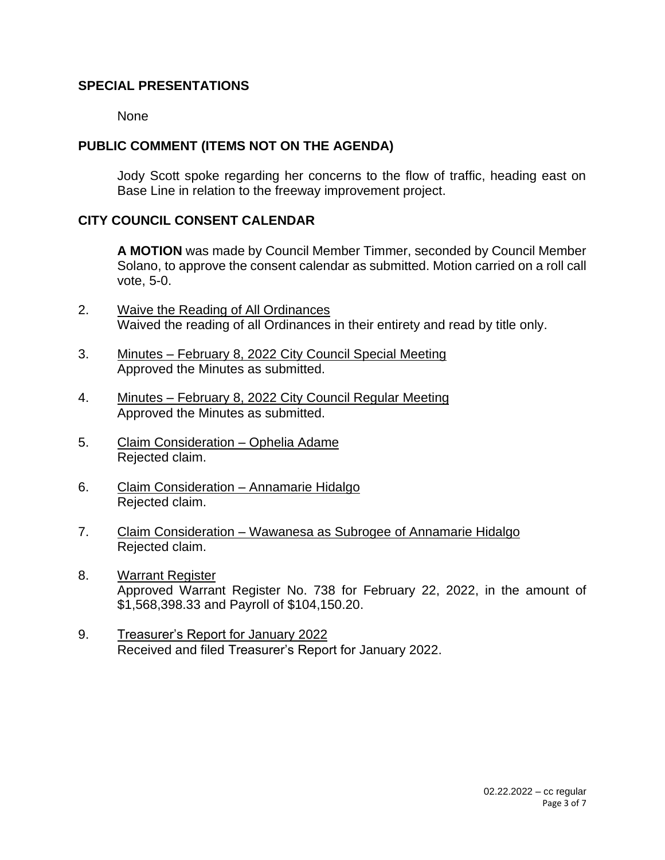## **SPECIAL PRESENTATIONS**

None

## **PUBLIC COMMENT (ITEMS NOT ON THE AGENDA)**

Jody Scott spoke regarding her concerns to the flow of traffic, heading east on Base Line in relation to the freeway improvement project.

## **CITY COUNCIL CONSENT CALENDAR**

**A MOTION** was made by Council Member Timmer, seconded by Council Member Solano, to approve the consent calendar as submitted. Motion carried on a roll call vote, 5-0.

- 2. Waive the Reading of All Ordinances Waived the reading of all Ordinances in their entirety and read by title only.
- 3. Minutes February 8, 2022 City Council Special Meeting Approved the Minutes as submitted.
- 4. Minutes February 8, 2022 City Council Regular Meeting Approved the Minutes as submitted.
- 5. Claim Consideration Ophelia Adame Rejected claim.
- 6. Claim Consideration Annamarie Hidalgo Rejected claim.
- 7. Claim Consideration Wawanesa as Subrogee of Annamarie Hidalgo Rejected claim.
- 8. Warrant Register Approved Warrant Register No. 738 for February 22, 2022, in the amount of \$1,568,398.33 and Payroll of \$104,150.20.
- 9. Treasurer's Report for January 2022 Received and filed Treasurer's Report for January 2022.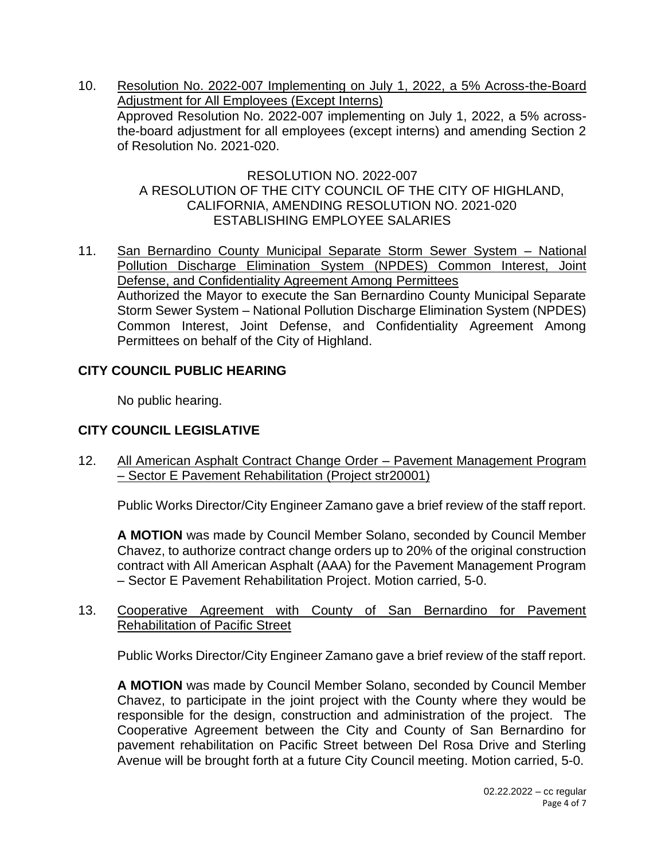10. Resolution No. 2022-007 Implementing on July 1, 2022, a 5% Across-the-Board Adjustment for All Employees (Except Interns) Approved Resolution No. 2022-007 implementing on July 1, 2022, a 5% acrossthe-board adjustment for all employees (except interns) and amending Section 2 of Resolution No. 2021-020.

### RESOLUTION NO. 2022-007 A RESOLUTION OF THE CITY COUNCIL OF THE CITY OF HIGHLAND, CALIFORNIA, AMENDING RESOLUTION NO. 2021-020 ESTABLISHING EMPLOYEE SALARIES

11. San Bernardino County Municipal Separate Storm Sewer System – National Pollution Discharge Elimination System (NPDES) Common Interest, Joint Defense, and Confidentiality Agreement Among Permittees Authorized the Mayor to execute the San Bernardino County Municipal Separate Storm Sewer System – National Pollution Discharge Elimination System (NPDES) Common Interest, Joint Defense, and Confidentiality Agreement Among Permittees on behalf of the City of Highland.

## **CITY COUNCIL PUBLIC HEARING**

No public hearing.

# **CITY COUNCIL LEGISLATIVE**

12. All American Asphalt Contract Change Order – Pavement Management Program – Sector E Pavement Rehabilitation (Project str20001)

Public Works Director/City Engineer Zamano gave a brief review of the staff report.

**A MOTION** was made by Council Member Solano, seconded by Council Member Chavez, to authorize contract change orders up to 20% of the original construction contract with All American Asphalt (AAA) for the Pavement Management Program – Sector E Pavement Rehabilitation Project. Motion carried, 5-0.

13. Cooperative Agreement with County of San Bernardino for Pavement Rehabilitation of Pacific Street

Public Works Director/City Engineer Zamano gave a brief review of the staff report.

**A MOTION** was made by Council Member Solano, seconded by Council Member Chavez, to participate in the joint project with the County where they would be responsible for the design, construction and administration of the project. The Cooperative Agreement between the City and County of San Bernardino for pavement rehabilitation on Pacific Street between Del Rosa Drive and Sterling Avenue will be brought forth at a future City Council meeting. Motion carried, 5-0.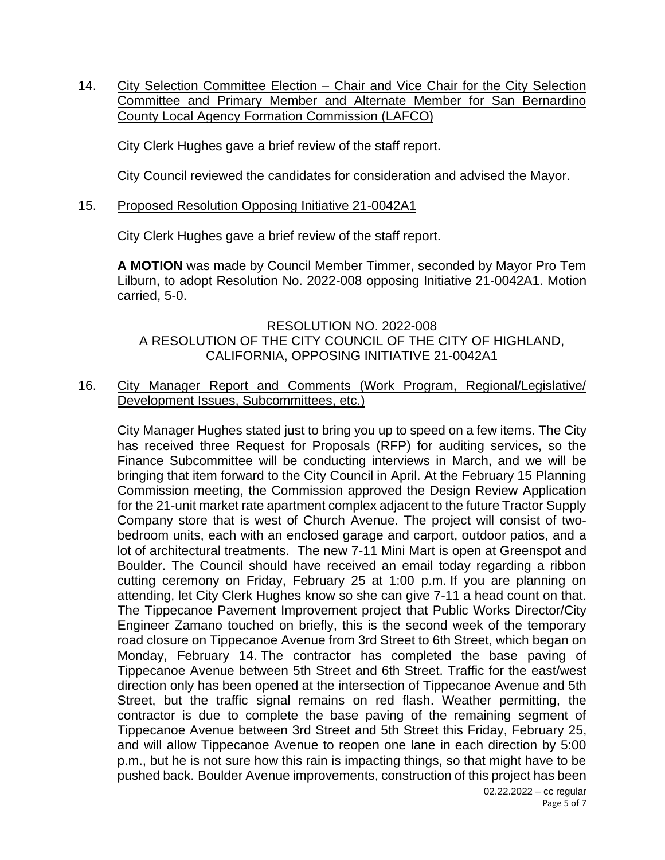14. City Selection Committee Election - Chair and Vice Chair for the City Selection Committee and Primary Member and Alternate Member for San Bernardino County Local Agency Formation Commission (LAFCO)

City Clerk Hughes gave a brief review of the staff report.

City Council reviewed the candidates for consideration and advised the Mayor.

## 15. Proposed Resolution Opposing Initiative 21-0042A1

City Clerk Hughes gave a brief review of the staff report.

**A MOTION** was made by Council Member Timmer, seconded by Mayor Pro Tem Lilburn, to adopt Resolution No. 2022-008 opposing Initiative 21-0042A1. Motion carried, 5-0.

### RESOLUTION NO. 2022-008 A RESOLUTION OF THE CITY COUNCIL OF THE CITY OF HIGHLAND, CALIFORNIA, OPPOSING INITIATIVE 21-0042A1

## 16. City Manager Report and Comments (Work Program, Regional/Legislative/ Development Issues, Subcommittees, etc.)

City Manager Hughes stated just to bring you up to speed on a few items. The City has received three Request for Proposals (RFP) for auditing services, so the Finance Subcommittee will be conducting interviews in March, and we will be bringing that item forward to the City Council in April. At the February 15 Planning Commission meeting, the Commission approved the Design Review Application for the 21-unit market rate apartment complex adjacent to the future Tractor Supply Company store that is west of Church Avenue. The project will consist of twobedroom units, each with an enclosed garage and carport, outdoor patios, and a lot of architectural treatments. The new 7-11 Mini Mart is open at Greenspot and Boulder. The Council should have received an email today regarding a ribbon cutting ceremony on Friday, February 25 at 1:00 p.m. If you are planning on attending, let City Clerk Hughes know so she can give 7-11 a head count on that. The Tippecanoe Pavement Improvement project that Public Works Director/City Engineer Zamano touched on briefly, this is the second week of the temporary road closure on Tippecanoe Avenue from 3rd Street to 6th Street, which began on Monday, February 14. The contractor has completed the base paving of Tippecanoe Avenue between 5th Street and 6th Street. Traffic for the east/west direction only has been opened at the intersection of Tippecanoe Avenue and 5th Street, but the traffic signal remains on red flash. Weather permitting, the contractor is due to complete the base paving of the remaining segment of Tippecanoe Avenue between 3rd Street and 5th Street this Friday, February 25, and will allow Tippecanoe Avenue to reopen one lane in each direction by 5:00 p.m., but he is not sure how this rain is impacting things, so that might have to be pushed back. Boulder Avenue improvements, construction of this project has been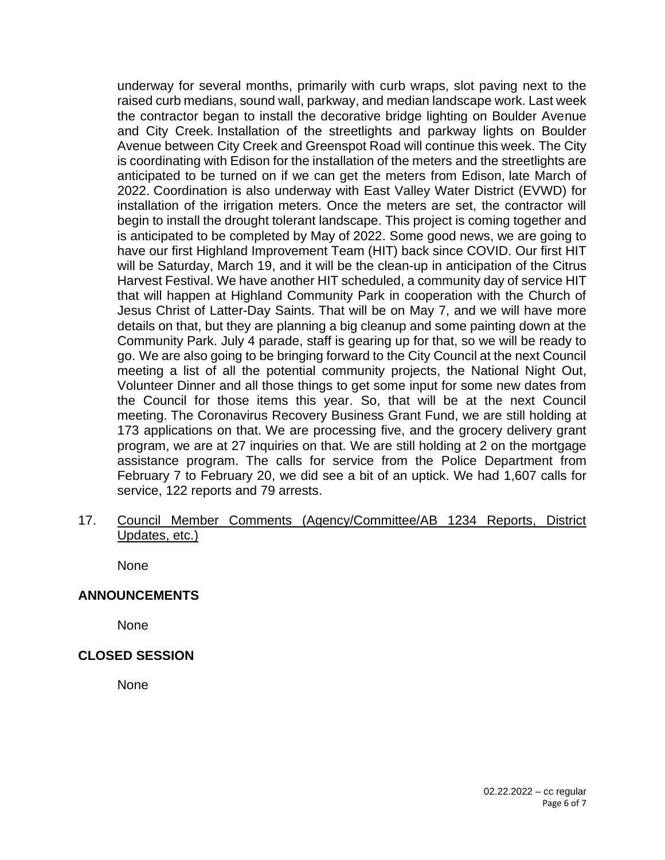underway for several months, primarily with curb wraps, slot paving next to the raised curb medians, sound wall, parkway, and median landscape work. Last week the contractor began to install the decorative bridge lighting on Boulder Avenue and City Creek. Installation of the streetlights and parkway lights on Boulder Avenue between City Creek and Greenspot Road will continue this week. The City is coordinating with Edison for the installation of the meters and the streetlights are anticipated to be turned on if we can get the meters from Edison, late March of 2022. Coordination is also underway with East Valley Water District (EVWD) for installation of the irrigation meters. Once the meters are set, the contractor will begin to install the drought tolerant landscape. This project is coming together and is anticipated to be completed by May of 2022. Some good news, we are going to have our first Highland Improvement Team (HIT) back since COVID. Our first HIT will be Saturday, March 19, and it will be the clean-up in anticipation of the Citrus Harvest Festival. We have another HIT scheduled, a community day of service HIT that will happen at Highland Community Park in cooperation with the Church of Jesus Christ of Latter-Day Saints. That will be on May 7, and we will have more details on that, but they are planning a big cleanup and some painting down at the Community Park. July 4 parade, staff is gearing up for that, so we will be ready to go. We are also going to be bringing forward to the City Council at the next Council meeting a list of all the potential community projects, the National Night Out, Volunteer Dinner and all those things to get some input for some new dates from the Council for those items this year. So, that will be at the next Council meeting. The Coronavirus Recovery Business Grant Fund, we are still holding at 173 applications on that. We are processing five, and the grocery delivery grant program, we are at 27 inquiries on that. We are still holding at 2 on the mortgage assistance program. The calls for service from the Police Department from February 7 to February 20, we did see a bit of an uptick. We had 1,607 calls for service, 122 reports and 79 arrests.

17. Council Member Comments (Agency/Committee/AB 1234 Reports, District Updates, etc.)

None

### **ANNOUNCEMENTS**

None

### **CLOSED SESSION**

None